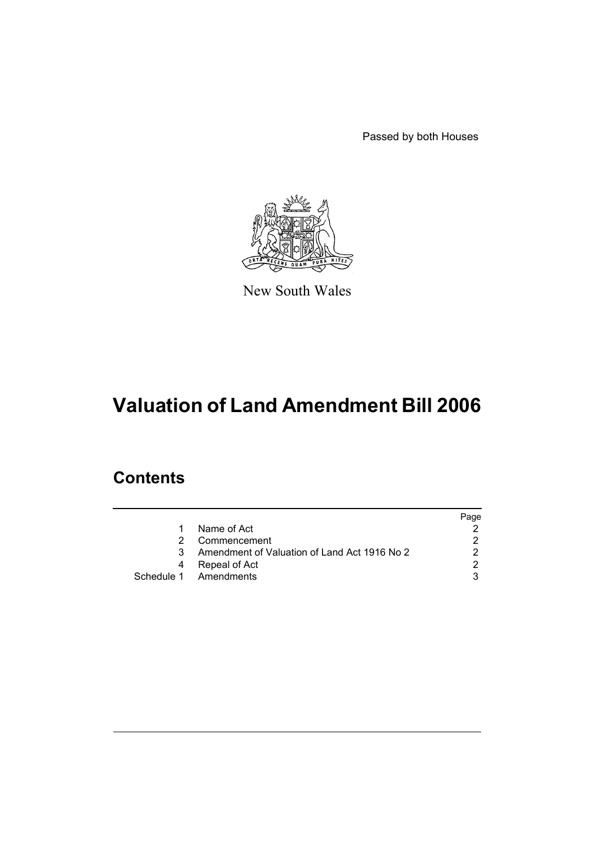Passed by both Houses



New South Wales

# **Valuation of Land Amendment Bill 2006**

## **Contents**

|   |                                              | Page |
|---|----------------------------------------------|------|
|   | Name of Act                                  |      |
|   | Commencement                                 |      |
| 3 | Amendment of Valuation of Land Act 1916 No 2 |      |
|   | Repeal of Act                                |      |
|   | Schedule 1 Amendments                        |      |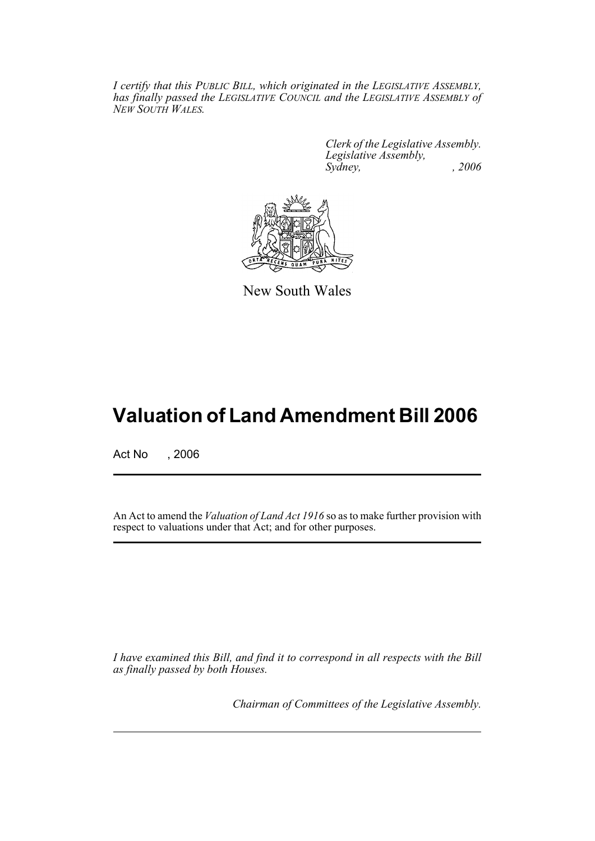*I certify that this PUBLIC BILL, which originated in the LEGISLATIVE ASSEMBLY, has finally passed the LEGISLATIVE COUNCIL and the LEGISLATIVE ASSEMBLY of NEW SOUTH WALES.*

> *Clerk of the Legislative Assembly. Legislative Assembly, Sydney, , 2006*



New South Wales

## **Valuation of Land Amendment Bill 2006**

Act No , 2006

An Act to amend the *Valuation of Land Act 1916* so as to make further provision with respect to valuations under that Act; and for other purposes.

*I have examined this Bill, and find it to correspond in all respects with the Bill as finally passed by both Houses.*

*Chairman of Committees of the Legislative Assembly.*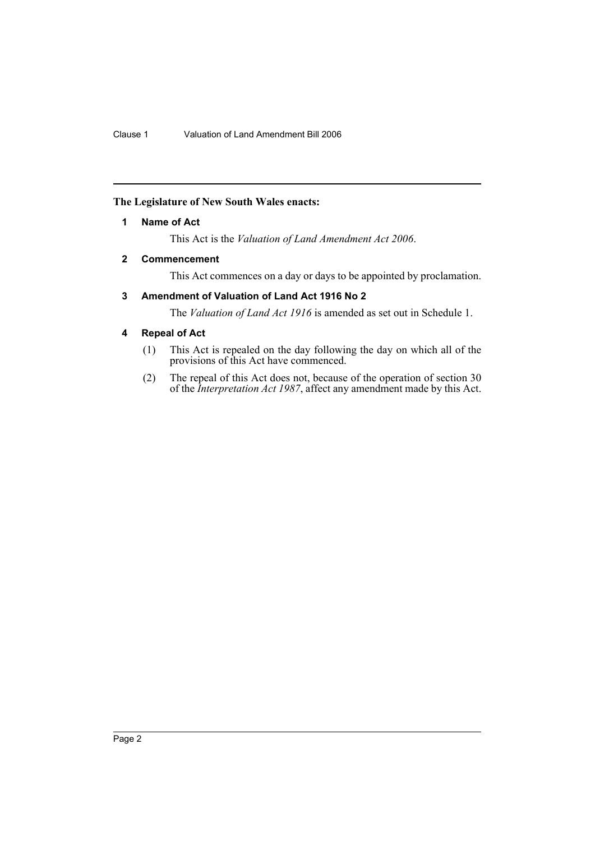## **The Legislature of New South Wales enacts:**

## **1 Name of Act**

This Act is the *Valuation of Land Amendment Act 2006*.

## **2 Commencement**

This Act commences on a day or days to be appointed by proclamation.

## **3 Amendment of Valuation of Land Act 1916 No 2**

The *Valuation of Land Act 1916* is amended as set out in Schedule 1.

## **4 Repeal of Act**

- (1) This Act is repealed on the day following the day on which all of the provisions of this Act have commenced.
- (2) The repeal of this Act does not, because of the operation of section 30 of the *Interpretation Act 1987*, affect any amendment made by this Act.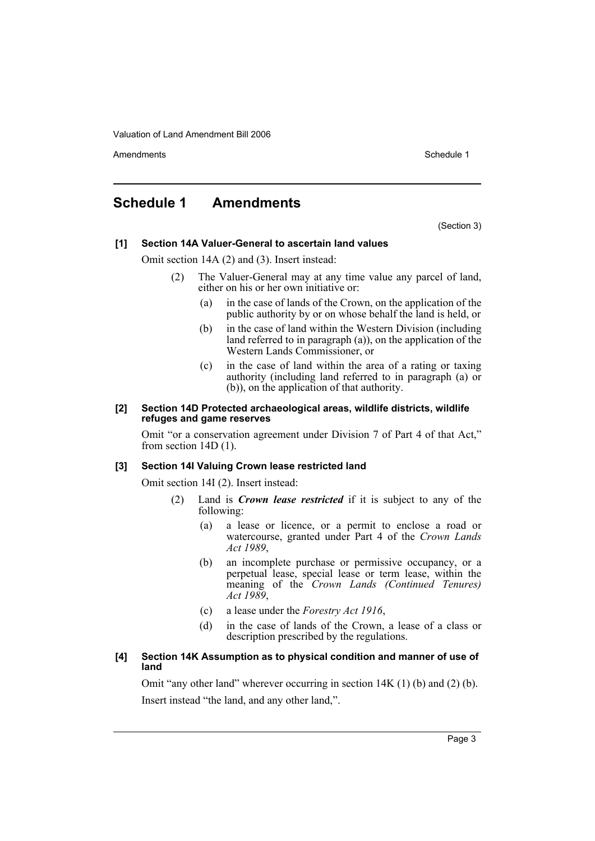Amendments **Amendments** Schedule 1

## **Schedule 1 Amendments**

(Section 3)

#### **[1] Section 14A Valuer-General to ascertain land values**

Omit section 14A (2) and (3). Insert instead:

- (2) The Valuer-General may at any time value any parcel of land, either on his or her own initiative or:
	- (a) in the case of lands of the Crown, on the application of the public authority by or on whose behalf the land is held, or
	- (b) in the case of land within the Western Division (including land referred to in paragraph (a)), on the application of the Western Lands Commissioner, or
	- (c) in the case of land within the area of a rating or taxing authority (including land referred to in paragraph (a) or (b)), on the application of that authority.

#### **[2] Section 14D Protected archaeological areas, wildlife districts, wildlife refuges and game reserves**

Omit "or a conservation agreement under Division 7 of Part 4 of that Act," from section 14D (1).

#### **[3] Section 14I Valuing Crown lease restricted land**

Omit section 14I (2). Insert instead:

- (2) Land is *Crown lease restricted* if it is subject to any of the following:
	- (a) a lease or licence, or a permit to enclose a road or watercourse, granted under Part 4 of the *Crown Lands Act 1989*,
	- (b) an incomplete purchase or permissive occupancy, or a perpetual lease, special lease or term lease, within the meaning of the *Crown Lands (Continued Tenures) Act 1989*,
	- (c) a lease under the *Forestry Act 1916*,
	- (d) in the case of lands of the Crown, a lease of a class or description prescribed by the regulations.

#### **[4] Section 14K Assumption as to physical condition and manner of use of land**

Omit "any other land" wherever occurring in section  $14K(1)$  (b) and (2) (b). Insert instead "the land, and any other land,".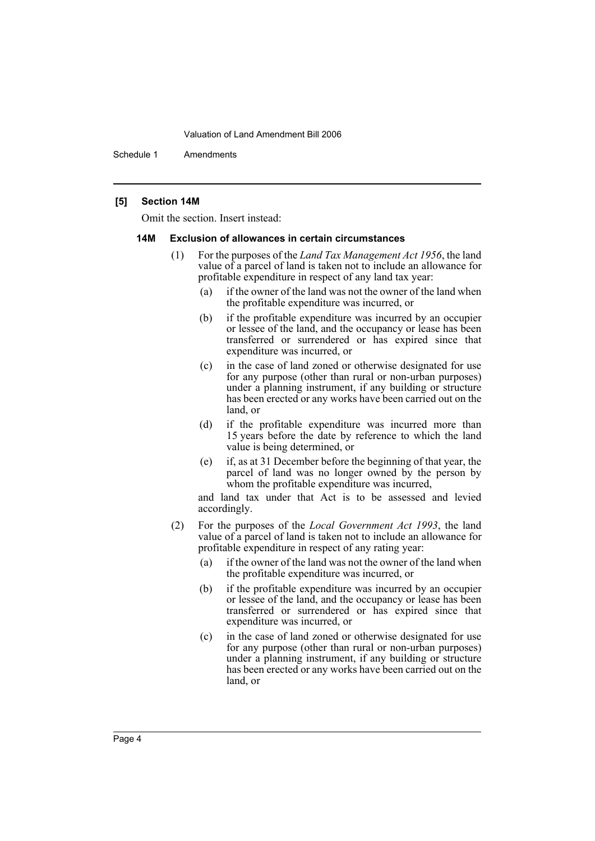Schedule 1 Amendments

#### **[5] Section 14M**

Omit the section. Insert instead:

#### **14M Exclusion of allowances in certain circumstances**

- (1) For the purposes of the *Land Tax Management Act 1956*, the land value of a parcel of land is taken not to include an allowance for profitable expenditure in respect of any land tax year:
	- (a) if the owner of the land was not the owner of the land when the profitable expenditure was incurred, or
	- (b) if the profitable expenditure was incurred by an occupier or lessee of the land, and the occupancy or lease has been transferred or surrendered or has expired since that expenditure was incurred, or
	- (c) in the case of land zoned or otherwise designated for use for any purpose (other than rural or non-urban purposes) under a planning instrument, if any building or structure has been erected or any works have been carried out on the land, or
	- (d) if the profitable expenditure was incurred more than 15 years before the date by reference to which the land value is being determined, or
	- (e) if, as at 31 December before the beginning of that year, the parcel of land was no longer owned by the person by whom the profitable expenditure was incurred,

and land tax under that Act is to be assessed and levied accordingly.

- (2) For the purposes of the *Local Government Act 1993*, the land value of a parcel of land is taken not to include an allowance for profitable expenditure in respect of any rating year:
	- (a) if the owner of the land was not the owner of the land when the profitable expenditure was incurred, or
	- (b) if the profitable expenditure was incurred by an occupier or lessee of the land, and the occupancy or lease has been transferred or surrendered or has expired since that expenditure was incurred, or
	- (c) in the case of land zoned or otherwise designated for use for any purpose (other than rural or non-urban purposes) under a planning instrument, if any building or structure has been erected or any works have been carried out on the land, or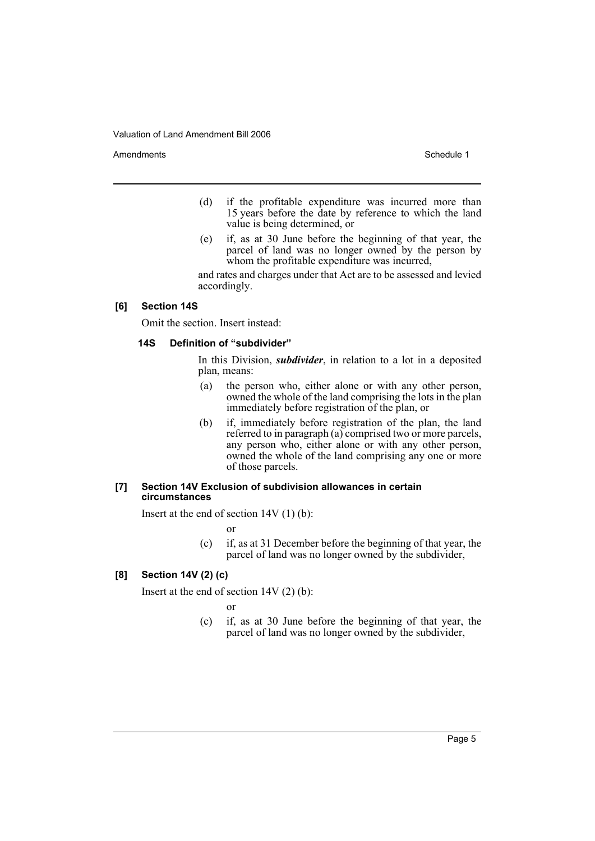Amendments **Amendments** Schedule 1

- (d) if the profitable expenditure was incurred more than 15 years before the date by reference to which the land value is being determined, or
- (e) if, as at 30 June before the beginning of that year, the parcel of land was no longer owned by the person by whom the profitable expenditure was incurred,

and rates and charges under that Act are to be assessed and levied accordingly.

#### **[6] Section 14S**

Omit the section. Insert instead:

#### **14S Definition of "subdivider"**

In this Division, *subdivider*, in relation to a lot in a deposited plan, means:

- (a) the person who, either alone or with any other person, owned the whole of the land comprising the lots in the plan immediately before registration of the plan, or
- (b) if, immediately before registration of the plan, the land referred to in paragraph (a) comprised two or more parcels, any person who, either alone or with any other person, owned the whole of the land comprising any one or more of those parcels.

#### **[7] Section 14V Exclusion of subdivision allowances in certain circumstances**

Insert at the end of section  $14V(1)(b)$ :

or

(c) if, as at 31 December before the beginning of that year, the parcel of land was no longer owned by the subdivider,

#### **[8] Section 14V (2) (c)**

Insert at the end of section 14V (2) (b):

or

(c) if, as at 30 June before the beginning of that year, the parcel of land was no longer owned by the subdivider,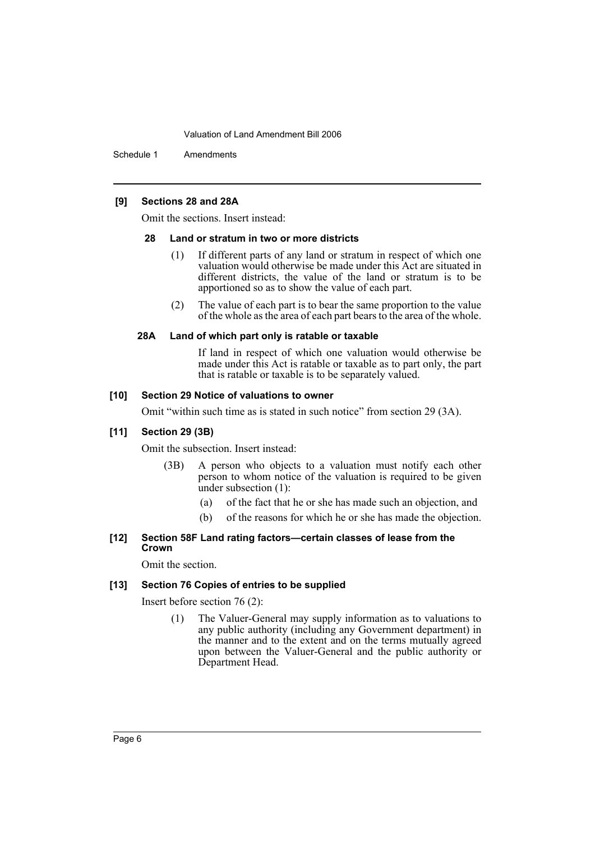Schedule 1 Amendments

#### **[9] Sections 28 and 28A**

Omit the sections. Insert instead:

#### **28 Land or stratum in two or more districts**

- (1) If different parts of any land or stratum in respect of which one valuation would otherwise be made under this Act are situated in different districts, the value of the land or stratum is to be apportioned so as to show the value of each part.
- (2) The value of each part is to bear the same proportion to the value of the whole as the area of each part bears to the area of the whole.

#### **28A Land of which part only is ratable or taxable**

If land in respect of which one valuation would otherwise be made under this Act is ratable or taxable as to part only, the part that is ratable or taxable is to be separately valued.

#### **[10] Section 29 Notice of valuations to owner**

Omit "within such time as is stated in such notice" from section 29 (3A).

#### **[11] Section 29 (3B)**

Omit the subsection. Insert instead:

- (3B) A person who objects to a valuation must notify each other person to whom notice of the valuation is required to be given under subsection (1):
	- (a) of the fact that he or she has made such an objection, and
	- (b) of the reasons for which he or she has made the objection.

#### **[12] Section 58F Land rating factors—certain classes of lease from the Crown**

Omit the section.

#### **[13] Section 76 Copies of entries to be supplied**

Insert before section 76 (2):

(1) The Valuer-General may supply information as to valuations to any public authority (including any Government department) in the manner and to the extent and on the terms mutually agreed upon between the Valuer-General and the public authority or Department Head.